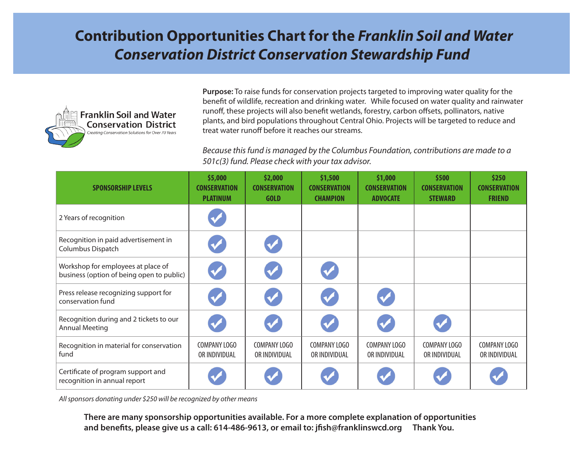## **Contribution Opportunities Chart for the** *Franklin Soil and Water Conservation District Conservation Stewardship Fund*



**Purpose:** To raise funds for conservation projects targeted to improving water quality for the benefit of wildlife, recreation and drinking water. While focused on water quality and rainwater runoff, these projects will also benefit wetlands, forestry, carbon offsets, pollinators, native plants, and bird populations throughout Central Ohio. Projects will be targeted to reduce and treat water runoff before it reaches our streams.

*Because this fund is managed by the Columbus Foundation, contributions are made to a 501c(3) fund. Please check with your tax advisor.* 

| <b>SPONSORSHIP LEVELS</b>                                                       | \$5,000<br><b>CONSERVATION</b><br><b>PLATINUM</b> | \$2,000<br><b>CONSERVATION</b><br><b>GOLD</b> | \$1,500<br><b>CONSERVATION</b><br><b>CHAMPION</b> | \$1,000<br><b>CONSERVATION</b><br><b>ADVOCATE</b> | \$500<br><b>CONSERVATION</b><br><b>STEWARD</b> | \$250<br><b>CONSERVATION</b><br><b>FRIEND</b> |
|---------------------------------------------------------------------------------|---------------------------------------------------|-----------------------------------------------|---------------------------------------------------|---------------------------------------------------|------------------------------------------------|-----------------------------------------------|
| 2 Years of recognition                                                          |                                                   |                                               |                                                   |                                                   |                                                |                                               |
| Recognition in paid advertisement in<br>Columbus Dispatch                       |                                                   |                                               |                                                   |                                                   |                                                |                                               |
| Workshop for employees at place of<br>business (option of being open to public) |                                                   |                                               |                                                   |                                                   |                                                |                                               |
| Press release recognizing support for<br>conservation fund                      |                                                   |                                               |                                                   |                                                   |                                                |                                               |
| Recognition during and 2 tickets to our<br><b>Annual Meeting</b>                |                                                   |                                               |                                                   |                                                   |                                                |                                               |
| Recognition in material for conservation<br>fund                                | COMPANY LOGO<br>OR INDIVIDUAL                     | COMPANY LOGO<br>OR INDIVIDUAL                 | COMPANY LOGO<br>OR INDIVIDUAL                     | COMPANY LOGO<br>OR INDIVIDUAL                     | COMPANY LOGO<br>OR INDIVIDUAL                  | COMPANY LOGO<br>OR INDIVIDUAL                 |
| Certificate of program support and<br>recognition in annual report              |                                                   |                                               |                                                   |                                                   |                                                |                                               |

*All sponsors donating under \$250 will be recognized by other means*

**There are many sponsorship opportunities available. For a more complete explanation of opportunities and benefits, please give us a call: 614-486-9613, or email to: jfish@franklinswcd.org Thank You.**